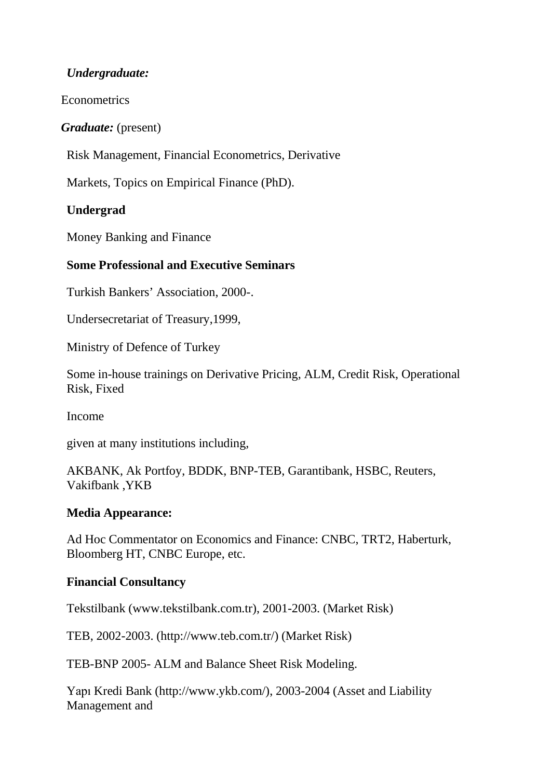# *Undergraduate:*

**Econometrics** 

*Graduate:* (present)

Risk Management, Financial Econometrics, Derivative

Markets, Topics on Empirical Finance (PhD).

# **Undergrad**

Money Banking and Finance

### **Some Professional and Executive Seminars**

Turkish Bankers' Association, 2000-.

Undersecretariat of Treasury,1999,

Ministry of Defence of Turkey

Some in-house trainings on Derivative Pricing, ALM, Credit Risk, Operational Risk, Fixed

Income

given at many institutions including,

AKBANK, Ak Portfoy, BDDK, BNP-TEB, Garantibank, HSBC, Reuters, Vakifbank ,YKB

### **Media Appearance:**

Ad Hoc Commentator on Economics and Finance: CNBC, TRT2, Haberturk, Bloomberg HT, CNBC Europe, etc.

### **Financial Consultancy**

Tekstilbank (www.tekstilbank.com.tr), 2001-2003. (Market Risk)

TEB, 2002-2003. [\(http://www.teb.com.tr/\)](http://www.teb.com.tr/)) (Market Risk)

TEB-BNP 2005- ALM and Balance Sheet Risk Modeling.

Yapı Kredi [Bank \(http://www.ykb.com/\),](http://www.ykb.com/)) 2003-2004 (Asset and Liability Management and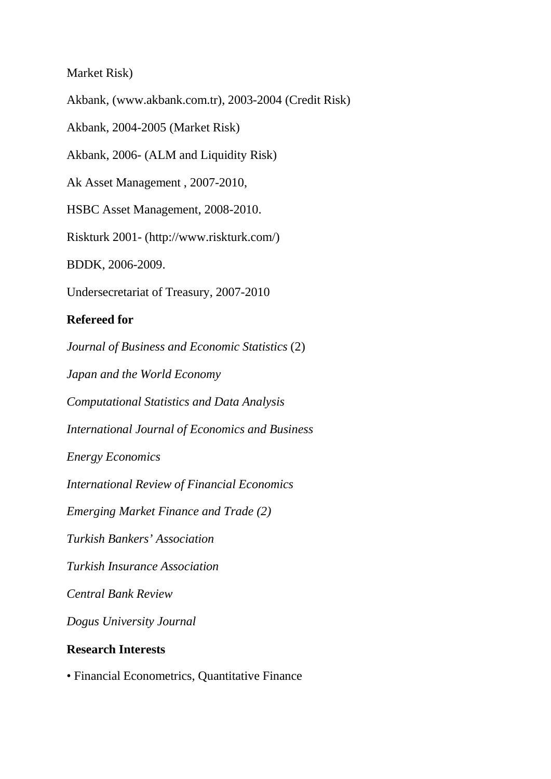Market Risk)

Akbank, (www.akbank.com.tr), 2003-2004 (Credit Risk)

Akbank, 2004-2005 (Market Risk)

Akbank, 2006- (ALM and Liquidity Risk)

Ak Asset Management , 2007-2010,

HSBC Asset Management, 2008-2010.

Riskturk 2001- [\(http://www.riskturk.com/\)](http://www.riskturk.com/))

BDDK, 2006-2009.

Undersecretariat of Treasury, 2007-2010

# **Refereed for**

*Journal of Business and Economic Statistics* (2) *Japan and the World Economy Computational Statistics and Data Analysis International Journal of Economics and Business Energy Economics International Review of Financial Economics Emerging Market Finance and Trade (2) Turkish Bankers' Association Turkish Insurance Association Central Bank Review Dogus University Journal* **Research Interests**

• Financial Econometrics, Quantitative Finance